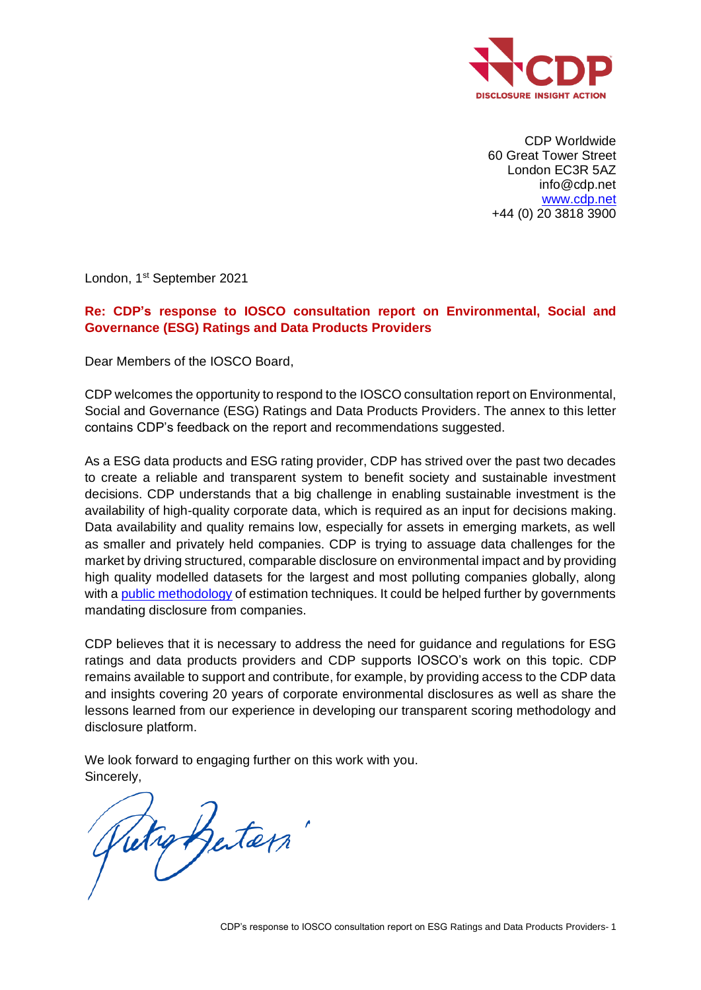

CDP Worldwide 60 Great Tower Street London EC3R 5AZ info@cdp.net [www.cdp.net](http://www.cdp.net/) +44 (0) 20 3818 3900

London, 1<sup>st</sup> September 2021

## **Re: CDP's response to IOSCO consultation report on Environmental, Social and Governance (ESG) Ratings and Data Products Providers**

Dear Members of the IOSCO Board,

CDP welcomes the opportunity to respond to the IOSCO consultation report on Environmental, Social and Governance (ESG) Ratings and Data Products Providers. The annex to this letter contains CDP's feedback on the report and recommendations suggested.

As a ESG data products and ESG rating provider, CDP has strived over the past two decades to create a reliable and transparent system to benefit society and sustainable investment decisions. CDP understands that a big challenge in enabling sustainable investment is the availability of high-quality corporate data, which is required as an input for decisions making. Data availability and quality remains low, especially for assets in emerging markets, as well as smaller and privately held companies. CDP is trying to assuage data challenges for the market by driving structured, comparable disclosure on environmental impact and by providing high quality modelled datasets for the largest and most polluting companies globally, along with a [public methodology](https://www.cdp.net/en/investor/ghg-emissions-dataset) of estimation techniques. It could be helped further by governments mandating disclosure from companies.

CDP believes that it is necessary to address the need for guidance and regulations for ESG ratings and data products providers and CDP supports IOSCO's work on this topic. CDP remains available to support and contribute, for example, by providing access to the CDP data and insights covering 20 years of corporate environmental disclosures as well as share the lessons learned from our experience in developing our transparent scoring methodology and disclosure platform.

We look forward to engaging further on this work with you. Sincerely,

Rutio Butein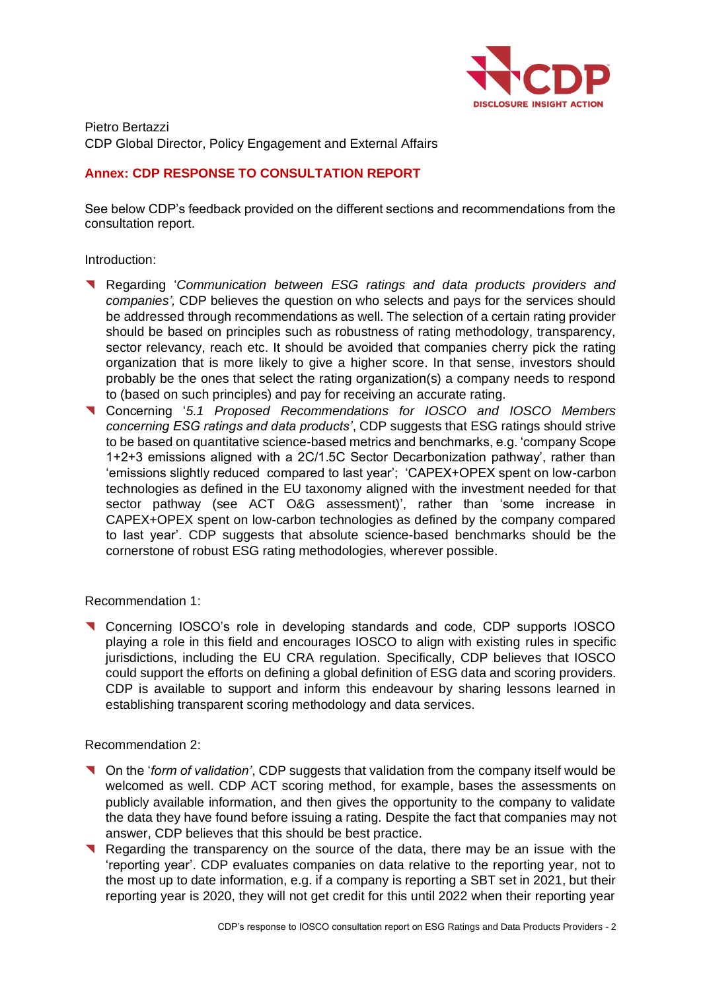

Pietro Bertazzi CDP Global Director, Policy Engagement and External Affairs

# **Annex: CDP RESPONSE TO CONSULTATION REPORT**

See below CDP's feedback provided on the different sections and recommendations from the consultation report.

Introduction:

- ◥ Regarding '*Communication between ESG ratings and data products providers and companies',* CDP believes the question on who selects and pays for the services should be addressed through recommendations as well. The selection of a certain rating provider should be based on principles such as robustness of rating methodology, transparency, sector relevancy, reach etc. It should be avoided that companies cherry pick the rating organization that is more likely to give a higher score. In that sense, investors should probably be the ones that select the rating organization(s) a company needs to respond to (based on such principles) and pay for receiving an accurate rating.
- ◥ Concerning '*5.1 Proposed Recommendations for IOSCO and IOSCO Members concerning ESG ratings and data products'*, CDP suggests that ESG ratings should strive to be based on quantitative science-based metrics and benchmarks, e.g. 'company Scope 1+2+3 emissions aligned with a 2C/1.5C Sector Decarbonization pathway', rather than 'emissions slightly reduced compared to last year'; 'CAPEX+OPEX spent on low-carbon technologies as defined in the EU taxonomy aligned with the investment needed for that sector pathway (see ACT O&G assessment)', rather than 'some increase in CAPEX+OPEX spent on low-carbon technologies as defined by the company compared to last year'. CDP suggests that absolute science-based benchmarks should be the cornerstone of robust ESG rating methodologies, wherever possible.

Recommendation 1:

◥ Concerning IOSCO's role in developing standards and code, CDP supports IOSCO playing a role in this field and encourages IOSCO to align with existing rules in specific jurisdictions, including the EU CRA regulation. Specifically, CDP believes that IOSCO could support the efforts on defining a global definition of ESG data and scoring providers. CDP is available to support and inform this endeavour by sharing lessons learned in establishing transparent scoring methodology and data services.

Recommendation 2:

- ◥ On the '*form of validation'*, CDP suggests that validation from the company itself would be welcomed as well. CDP ACT scoring method, for example, bases the assessments on publicly available information, and then gives the opportunity to the company to validate the data they have found before issuing a rating. Despite the fact that companies may not answer, CDP believes that this should be best practice.
- ◥ Regarding the transparency on the source of the data, there may be an issue with the 'reporting year'. CDP evaluates companies on data relative to the reporting year, not to the most up to date information, e.g. if a company is reporting a SBT set in 2021, but their reporting year is 2020, they will not get credit for this until 2022 when their reporting year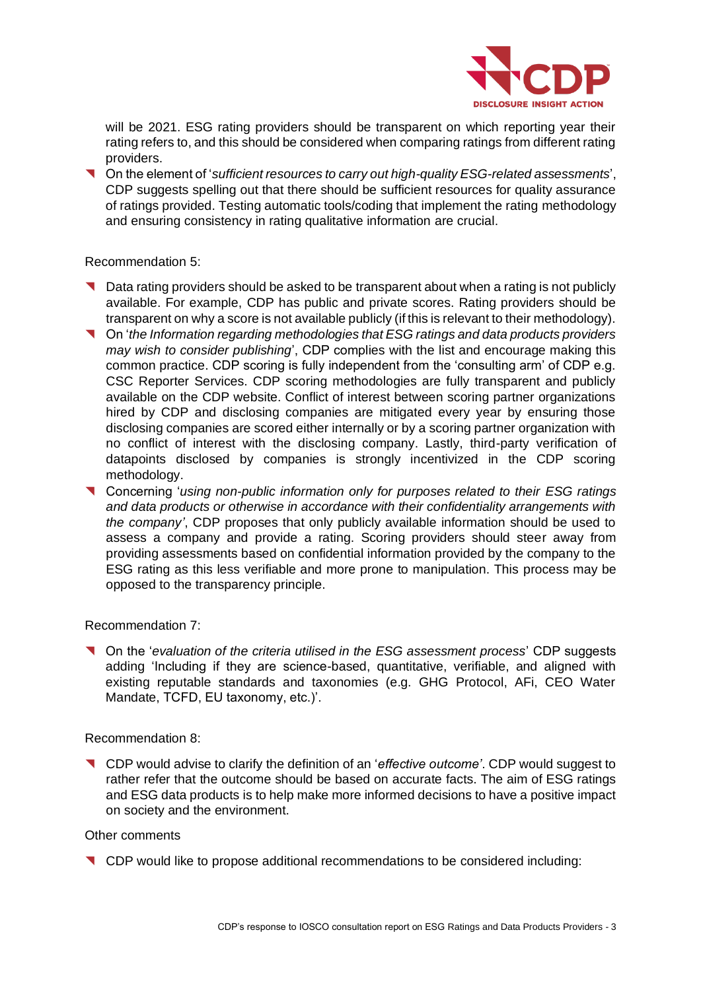

will be 2021. ESG rating providers should be transparent on which reporting year their rating refers to, and this should be considered when comparing ratings from different rating providers.

◥ On the element of '*sufficient resources to carry out high-quality ESG-related assessments*', CDP suggests spelling out that there should be sufficient resources for quality assurance of ratings provided. Testing automatic tools/coding that implement the rating methodology and ensuring consistency in rating qualitative information are crucial.

### Recommendation 5:

- ◥ Data rating providers should be asked to be transparent about when a rating is not publicly available. For example, CDP has public and private scores. Rating providers should be transparent on why a score is not available publicly (if this is relevant to their methodology).
- ◥ On '*the Information regarding methodologies that ESG ratings and data products providers may wish to consider publishing*', CDP complies with the list and encourage making this common practice. CDP scoring is fully independent from the 'consulting arm' of CDP e.g. CSC Reporter Services. CDP scoring methodologies are fully transparent and publicly available on the CDP website. Conflict of interest between scoring partner organizations hired by CDP and disclosing companies are mitigated every year by ensuring those disclosing companies are scored either internally or by a scoring partner organization with no conflict of interest with the disclosing company. Lastly, third-party verification of datapoints disclosed by companies is strongly incentivized in the CDP scoring methodology.
- ◥ Concerning '*using non-public information only for purposes related to their ESG ratings and data products or otherwise in accordance with their confidentiality arrangements with the company'*, CDP proposes that only publicly available information should be used to assess a company and provide a rating. Scoring providers should steer away from providing assessments based on confidential information provided by the company to the ESG rating as this less verifiable and more prone to manipulation. This process may be opposed to the transparency principle.

## Recommendation 7:

◥ On the '*evaluation of the criteria utilised in the ESG assessment process*' CDP suggests adding 'Including if they are science-based, quantitative, verifiable, and aligned with existing reputable standards and taxonomies (e.g. GHG Protocol, AFi, CEO Water Mandate, TCFD, EU taxonomy, etc.)'.

### Recommendation 8:

◥ CDP would advise to clarify the definition of an '*effective outcome'*. CDP would suggest to rather refer that the outcome should be based on accurate facts. The aim of ESG ratings and ESG data products is to help make more informed decisions to have a positive impact on society and the environment.

### Other comments

◥ CDP would like to propose additional recommendations to be considered including: